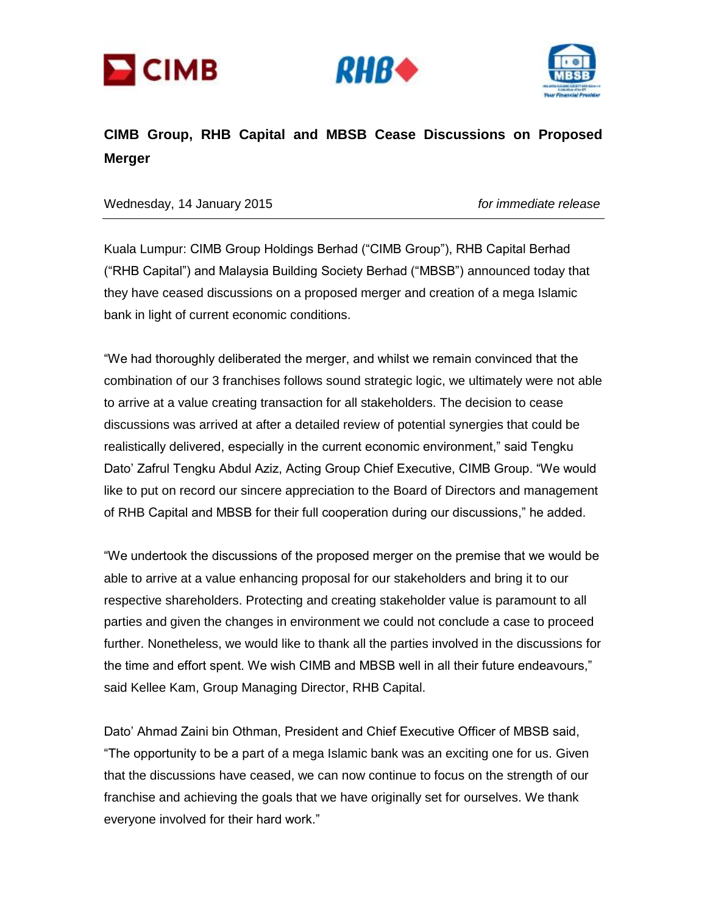





## **CIMB Group, RHB Capital and MBSB Cease Discussions on Proposed Merger**

Wednesday, 14 January 2015 *for immediate release*

Kuala Lumpur: CIMB Group Holdings Berhad ("CIMB Group"), RHB Capital Berhad ("RHB Capital") and Malaysia Building Society Berhad ("MBSB") announced today that they have ceased discussions on a proposed merger and creation of a mega Islamic bank in light of current economic conditions.

"We had thoroughly deliberated the merger, and whilst we remain convinced that the combination of our 3 franchises follows sound strategic logic, we ultimately were not able to arrive at a value creating transaction for all stakeholders. The decision to cease discussions was arrived at after a detailed review of potential synergies that could be realistically delivered, especially in the current economic environment," said Tengku Dato' Zafrul Tengku Abdul Aziz, Acting Group Chief Executive, CIMB Group. "We would like to put on record our sincere appreciation to the Board of Directors and management of RHB Capital and MBSB for their full cooperation during our discussions," he added.

"We undertook the discussions of the proposed merger on the premise that we would be able to arrive at a value enhancing proposal for our stakeholders and bring it to our respective shareholders. Protecting and creating stakeholder value is paramount to all parties and given the changes in environment we could not conclude a case to proceed further. Nonetheless, we would like to thank all the parties involved in the discussions for the time and effort spent. We wish CIMB and MBSB well in all their future endeavours," said Kellee Kam, Group Managing Director, RHB Capital.

Dato' Ahmad Zaini bin Othman, President and Chief Executive Officer of MBSB said, "The opportunity to be a part of a mega Islamic bank was an exciting one for us. Given that the discussions have ceased, we can now continue to focus on the strength of our franchise and achieving the goals that we have originally set for ourselves. We thank everyone involved for their hard work."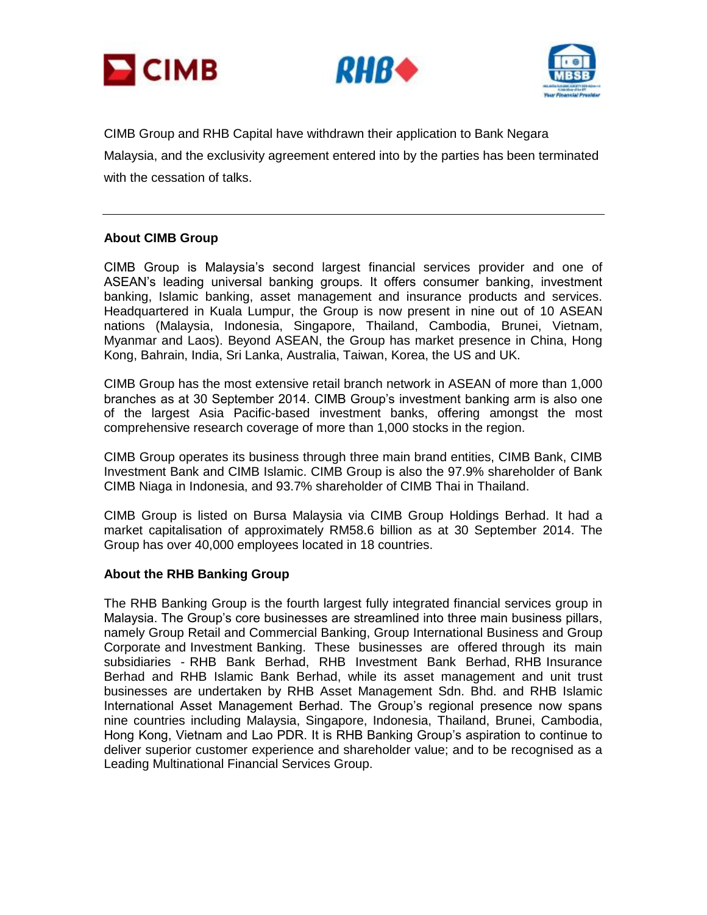





CIMB Group and RHB Capital have withdrawn their application to Bank Negara Malaysia, and the exclusivity agreement entered into by the parties has been terminated with the cessation of talks.

## **About CIMB Group**

CIMB Group is Malaysia's second largest financial services provider and one of ASEAN's leading universal banking groups. It offers consumer banking, investment banking, Islamic banking, asset management and insurance products and services. Headquartered in Kuala Lumpur, the Group is now present in nine out of 10 ASEAN nations (Malaysia, Indonesia, Singapore, Thailand, Cambodia, Brunei, Vietnam, Myanmar and Laos). Beyond ASEAN, the Group has market presence in China, Hong Kong, Bahrain, India, Sri Lanka, Australia, Taiwan, Korea, the US and UK.

CIMB Group has the most extensive retail branch network in ASEAN of more than 1,000 branches as at 30 September 2014. CIMB Group's investment banking arm is also one of the largest Asia Pacific-based investment banks, offering amongst the most comprehensive research coverage of more than 1,000 stocks in the region.

CIMB Group operates its business through three main brand entities, CIMB Bank, CIMB Investment Bank and CIMB Islamic. CIMB Group is also the 97.9% shareholder of Bank CIMB Niaga in Indonesia, and 93.7% shareholder of CIMB Thai in Thailand.

CIMB Group is listed on Bursa Malaysia via CIMB Group Holdings Berhad. It had a market capitalisation of approximately RM58.6 billion as at 30 September 2014. The Group has over 40,000 employees located in 18 countries.

## **About the RHB Banking Group**

The RHB Banking Group is the fourth largest fully integrated financial services group in Malaysia. The Group's core businesses are streamlined into three main business pillars, namely Group Retail and Commercial Banking, Group International Business and Group Corporate and Investment Banking. These businesses are offered through its main subsidiaries - RHB Bank Berhad, RHB Investment Bank Berhad, RHB Insurance Berhad and RHB Islamic Bank Berhad, while its asset management and unit trust businesses are undertaken by RHB Asset Management Sdn. Bhd. and RHB Islamic International Asset Management Berhad. The Group's regional presence now spans nine countries including Malaysia, Singapore, Indonesia, Thailand, Brunei, Cambodia, Hong Kong, Vietnam and Lao PDR. It is RHB Banking Group's aspiration to continue to deliver superior customer experience and shareholder value; and to be recognised as a Leading Multinational Financial Services Group.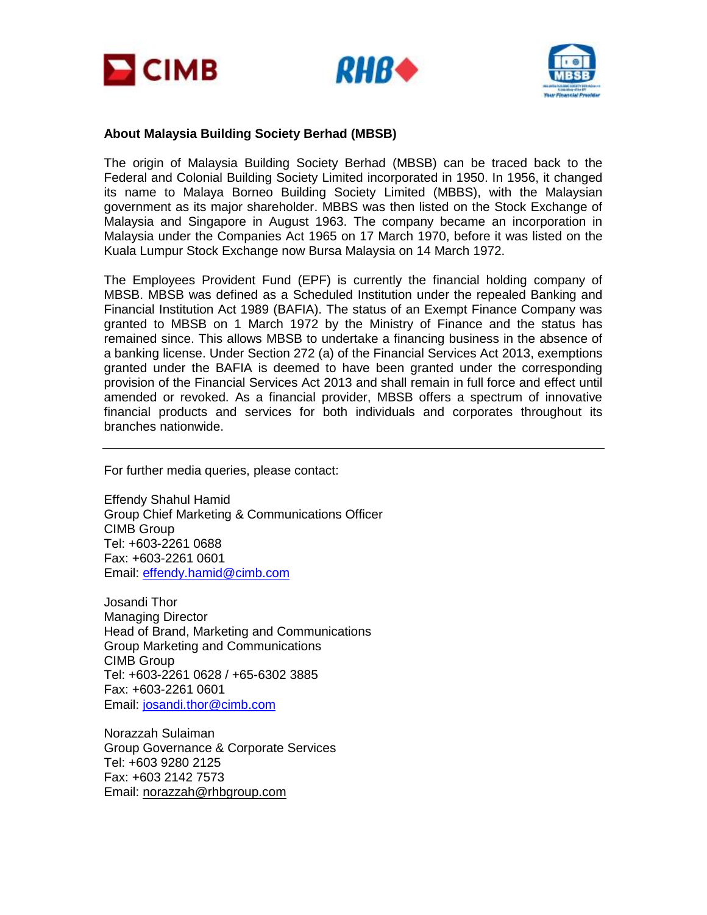





## **About Malaysia Building Society Berhad (MBSB)**

The origin of Malaysia Building Society Berhad (MBSB) can be traced back to the Federal and Colonial Building Society Limited incorporated in 1950. In 1956, it changed its name to Malaya Borneo Building Society Limited (MBBS), with the Malaysian government as its major shareholder. MBBS was then listed on the Stock Exchange of Malaysia and Singapore in August 1963. The company became an incorporation in Malaysia under the Companies Act 1965 on 17 March 1970, before it was listed on the Kuala Lumpur Stock Exchange now Bursa Malaysia on 14 March 1972.

The Employees Provident Fund (EPF) is currently the financial holding company of MBSB. MBSB was defined as a Scheduled Institution under the repealed Banking and Financial Institution Act 1989 (BAFIA). The status of an Exempt Finance Company was granted to MBSB on 1 March 1972 by the Ministry of Finance and the status has remained since. This allows MBSB to undertake a financing business in the absence of a banking license. Under Section 272 (a) of the Financial Services Act 2013, exemptions granted under the BAFIA is deemed to have been granted under the corresponding provision of the Financial Services Act 2013 and shall remain in full force and effect until amended or revoked. As a financial provider, MBSB offers a spectrum of innovative financial products and services for both individuals and corporates throughout its branches nationwide.

For further media queries, please contact:

Effendy Shahul Hamid Group Chief Marketing & Communications Officer CIMB Group Tel: +603-2261 0688 Fax: +603-2261 0601 Email: [effendy.hamid@cimb.com](mailto:effendy.hamid@cimb.com)

Josandi Thor Managing Director Head of Brand, Marketing and Communications Group Marketing and Communications CIMB Group Tel: +603-2261 0628 / +65-6302 3885 Fax: +603-2261 0601 Email: [josandi.thor@cimb.com](mailto:josandi.thor@cimb.com)

Norazzah Sulaiman Group Governance & Corporate Services Tel: +603 9280 2125 Fax: +603 2142 7573 Email: [norazzah@rhbgroup.com](mailto:norazzah@rhbgroup.com)